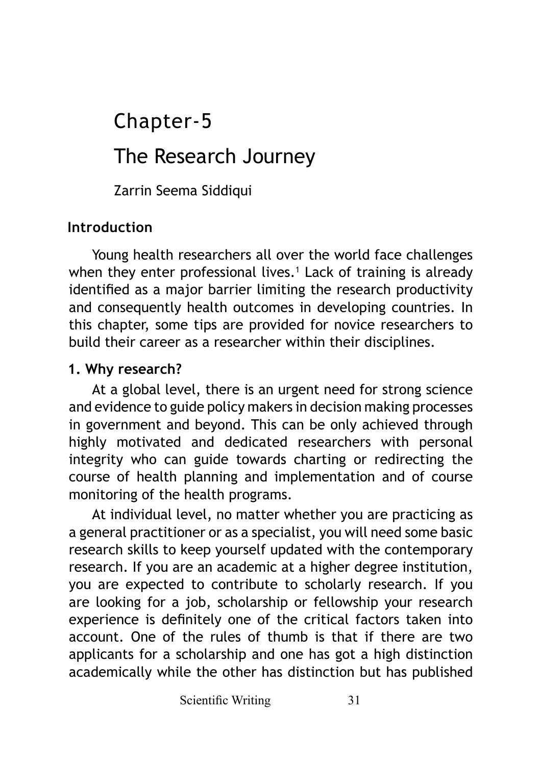# The Research Journey Chapter-5

Zarrin Seema Siddiqui

## **Introduction**

Young health researchers all over the world face challenges when they enter professional lives.1 Lack of training is already identified as a major barrier limiting the research productivity and consequently health outcomes in developing countries. In this chapter, some tips are provided for novice researchers to build their career as a researcher within their disciplines.

## **1. Why research?**

At a global level, there is an urgent need for strong science and evidence to guide policy makers in decision making processes in government and beyond. This can be only achieved through highly motivated and dedicated researchers with personal integrity who can guide towards charting or redirecting the course of health planning and implementation and of course monitoring of the health programs.

At individual level, no matter whether you are practicing as a general practitioner or as a specialist, you will need some basic research skills to keep yourself updated with the contemporary research. If you are an academic at a higher degree institution, you are expected to contribute to scholarly research. If you are looking for a job, scholarship or fellowship your research experience is definitely one of the critical factors taken into account. One of the rules of thumb is that if there are two applicants for a scholarship and one has got a high distinction academically while the other has distinction but has published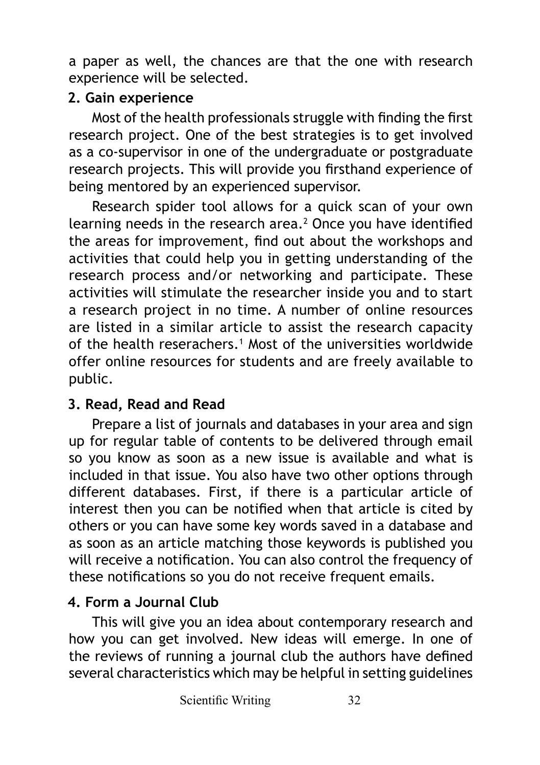a paper as well, the chances are that the one with research experience will be selected.

## **2. Gain experience**

Most of the health professionals struggle with finding the first research project. One of the best strategies is to get involved as a co-supervisor in one of the undergraduate or postgraduate research projects. This will provide you firsthand experience of being mentored by an experienced supervisor.

Research spider tool allows for a quick scan of your own learning needs in the research area.<sup>2</sup> Once you have identified the areas for improvement, find out about the workshops and activities that could help you in getting understanding of the research process and/or networking and participate. These activities will stimulate the researcher inside you and to start a research project in no time. A number of online resources are listed in a similar article to assist the research capacity of the health reserachers.1 Most of the universities worldwide offer online resources for students and are freely available to public.

# **3. Read, Read and Read**

Prepare a list of journals and databases in your area and sign up for regular table of contents to be delivered through email so you know as soon as a new issue is available and what is included in that issue. You also have two other options through different databases. First, if there is a particular article of interest then you can be notified when that article is cited by others or you can have some key words saved in a database and as soon as an article matching those keywords is published you will receive a notification. You can also control the frequency of these notifications so you do not receive frequent emails.

# **4. Form a Journal Club**

This will give you an idea about contemporary research and how you can get involved. New ideas will emerge. In one of the reviews of running a journal club the authors have defined several characteristics which may be helpful in setting guidelines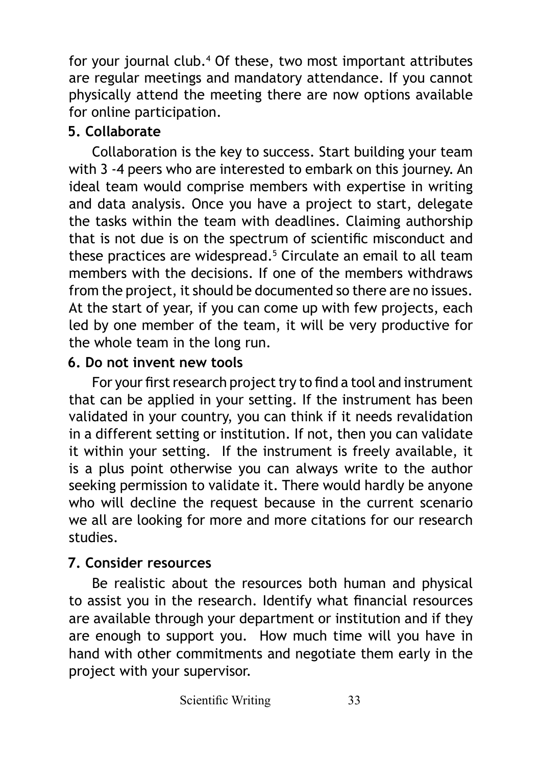for your journal club.<sup>4</sup> Of these, two most important attributes are regular meetings and mandatory attendance. If you cannot physically attend the meeting there are now options available for online participation.

# **5. Collaborate**

Collaboration is the key to success. Start building your team with 3 -4 peers who are interested to embark on this journey. An ideal team would comprise members with expertise in writing and data analysis. Once you have a project to start, delegate the tasks within the team with deadlines. Claiming authorship that is not due is on the spectrum of scientific misconduct and these practices are widespread.5 Circulate an email to all team members with the decisions. If one of the members withdraws from the project, it should be documented so there are no issues. At the start of year, if you can come up with few projects, each led by one member of the team, it will be very productive for the whole team in the long run.

# **6. Do not invent new tools**

For your first research project try to find a tool and instrument that can be applied in your setting. If the instrument has been validated in your country, you can think if it needs revalidation in a different setting or institution. If not, then you can validate it within your setting. If the instrument is freely available, it is a plus point otherwise you can always write to the author seeking permission to validate it. There would hardly be anyone who will decline the request because in the current scenario we all are looking for more and more citations for our research studies.

# **7. Consider resources**

Be realistic about the resources both human and physical to assist you in the research. Identify what financial resources are available through your department or institution and if they are enough to support you. How much time will you have in hand with other commitments and negotiate them early in the project with your supervisor.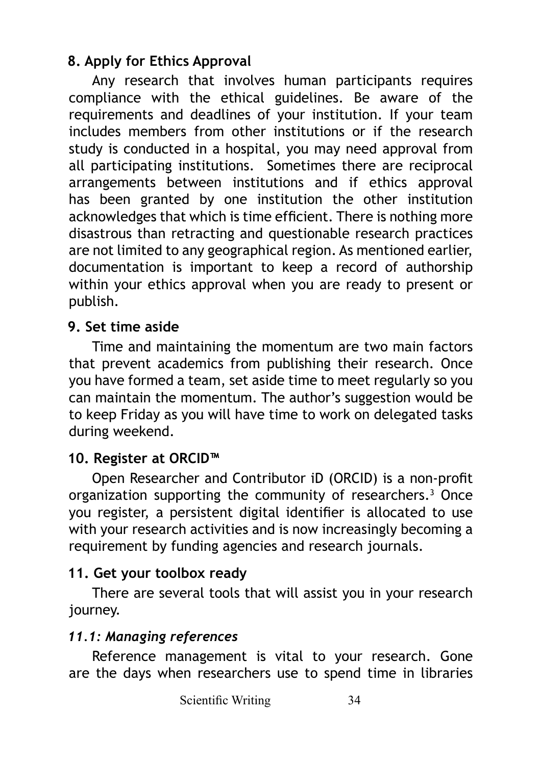# **8. Apply for Ethics Approval**

Any research that involves human participants requires compliance with the ethical guidelines. Be aware of the requirements and deadlines of your institution. If your team includes members from other institutions or if the research study is conducted in a hospital, you may need approval from all participating institutions. Sometimes there are reciprocal arrangements between institutions and if ethics approval has been granted by one institution the other institution acknowledges that which is time efficient. There is nothing more disastrous than retracting and questionable research practices are not limited to any geographical region. As mentioned earlier, documentation is important to keep a record of authorship within your ethics approval when you are ready to present or publish.

#### **9. Set time aside**

Time and maintaining the momentum are two main factors that prevent academics from publishing their research. Once you have formed a team, set aside time to meet regularly so you can maintain the momentum. The author's suggestion would be to keep Friday as you will have time to work on delegated tasks during weekend.

## **10. Register at ORCID™**

Open Researcher and Contributor iD (ORCID) is a non-profit organization supporting the community of researchers.3 Once you register, a persistent digital identifier is allocated to use with your research activities and is now increasingly becoming a requirement by funding agencies and research journals.

## **11. Get your toolbox ready**

There are several tools that will assist you in your research journey.

## *11.1: Managing references*

Reference management is vital to your research. Gone are the days when researchers use to spend time in libraries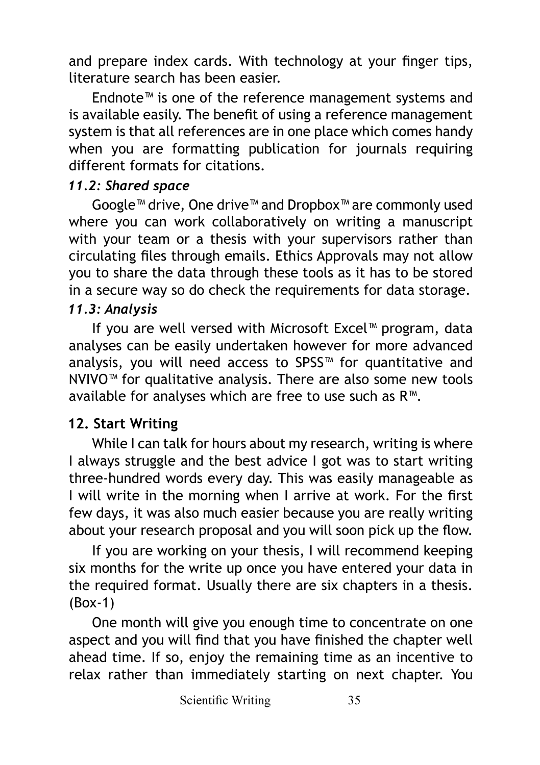and prepare index cards. With technology at your finger tips, literature search has been easier.

Endnote™ is one of the reference management systems and is available easily. The benefit of using a reference management system is that all references are in one place which comes handy when you are formatting publication for journals requiring different formats for citations.

#### *11.2: Shared space*

Google™ drive, One drive™ and Dropbox™ are commonly used where you can work collaboratively on writing a manuscript with your team or a thesis with your supervisors rather than circulating files through emails. Ethics Approvals may not allow you to share the data through these tools as it has to be stored in a secure way so do check the requirements for data storage.

#### *11.3: Analysis*

If you are well versed with Microsoft Excel™ program, data analyses can be easily undertaken however for more advanced analysis, you will need access to SPSS™ for quantitative and NVIVO™ for qualitative analysis. There are also some new tools available for analyses which are free to use such as R™.

## **12. Start Writing**

While I can talk for hours about my research, writing is where I always struggle and the best advice I got was to start writing three-hundred words every day. This was easily manageable as I will write in the morning when I arrive at work. For the first few days, it was also much easier because you are really writing about your research proposal and you will soon pick up the flow.

If you are working on your thesis, I will recommend keeping six months for the write up once you have entered your data in the required format. Usually there are six chapters in a thesis. (Box-1)

One month will give you enough time to concentrate on one aspect and you will find that you have finished the chapter well ahead time. If so, enjoy the remaining time as an incentive to relax rather than immediately starting on next chapter. You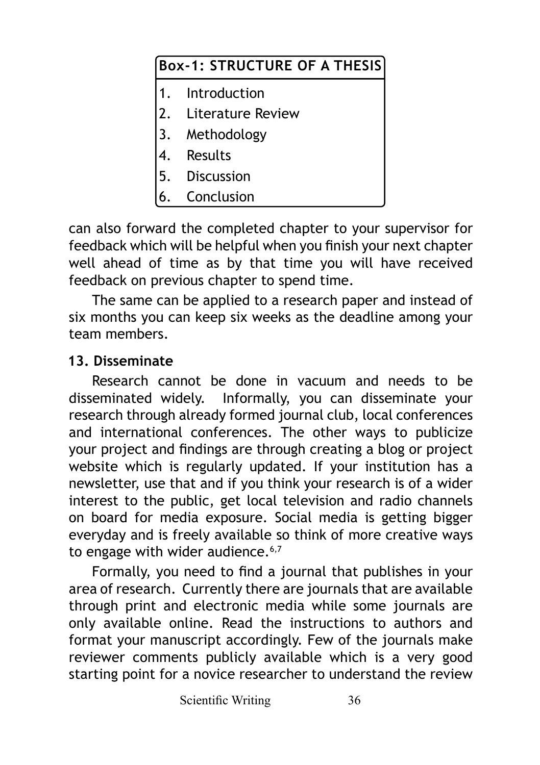| Box-1: STRUCTURE OF A THESIS |                      |
|------------------------------|----------------------|
|                              | 1. Introduction      |
|                              | 2. Literature Review |
|                              | 3. Methodology       |
|                              | Results              |
|                              | 5. Discussion        |
|                              | Conclusion           |

can also forward the completed chapter to your supervisor for feedback which will be helpful when you finish your next chapter well ahead of time as by that time you will have received feedback on previous chapter to spend time.

The same can be applied to a research paper and instead of six months you can keep six weeks as the deadline among your team members.

#### **13. Disseminate**

Research cannot be done in vacuum and needs to be disseminated widely. Informally, you can disseminate your research through already formed journal club, local conferences and international conferences. The other ways to publicize your project and findings are through creating a blog or project website which is regularly updated. If your institution has a newsletter, use that and if you think your research is of a wider interest to the public, get local television and radio channels on board for media exposure. Social media is getting bigger everyday and is freely available so think of more creative ways to engage with wider audience. $6,7$ 

Formally, you need to find a journal that publishes in your area of research. Currently there are journals that are available through print and electronic media while some journals are only available online. Read the instructions to authors and format your manuscript accordingly. Few of the journals make reviewer comments publicly available which is a very good starting point for a novice researcher to understand the review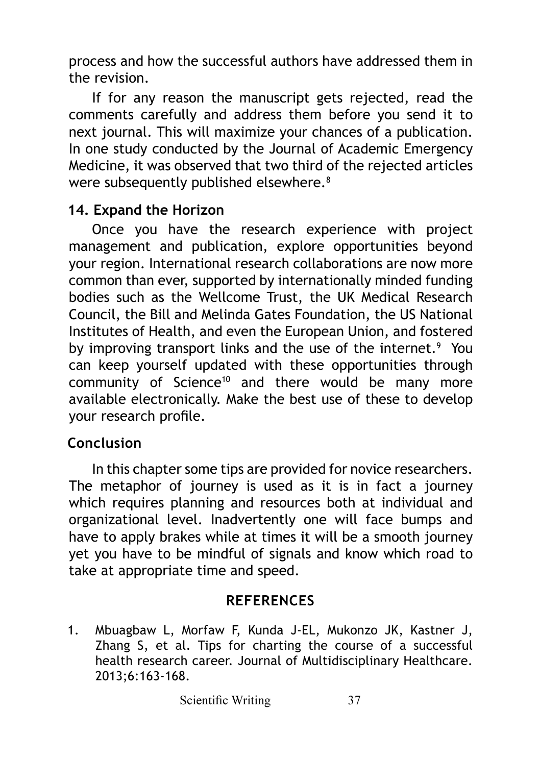process and how the successful authors have addressed them in the revision.

If for any reason the manuscript gets rejected, read the comments carefully and address them before you send it to next journal. This will maximize your chances of a publication. In one study conducted by the Journal of Academic Emergency Medicine, it was observed that two third of the rejected articles were subsequently published elsewhere.<sup>8</sup>

#### **14. Expand the Horizon**

Once you have the research experience with project management and publication, explore opportunities beyond your region. International research collaborations are now more common than ever, supported by internationally minded funding bodies such as the Wellcome Trust, the UK Medical Research Council, the Bill and Melinda Gates Foundation, the US National Institutes of Health, and even the European Union, and fostered by improving transport links and the use of the internet.<sup>9</sup> You can keep yourself updated with these opportunities through community of Science<sup>10</sup> and there would be many more available electronically. Make the best use of these to develop your research profile.

## **Conclusion**

In this chapter some tips are provided for novice researchers. The metaphor of journey is used as it is in fact a journey which requires planning and resources both at individual and organizational level. Inadvertently one will face bumps and have to apply brakes while at times it will be a smooth journey yet you have to be mindful of signals and know which road to take at appropriate time and speed.

#### **REFERENCES**

1. Mbuagbaw L, Morfaw F, Kunda J-EL, Mukonzo JK, Kastner J, Zhang S, et al. Tips for charting the course of a successful health research career. Journal of Multidisciplinary Healthcare. 2013;6:163-168.

Scientific Writing 37